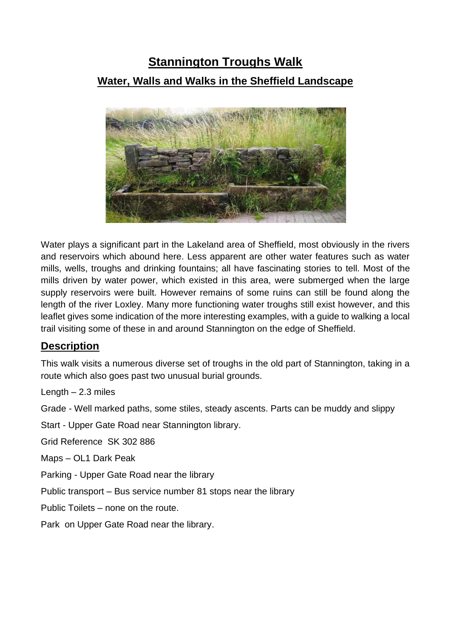# **Stannington Troughs Walk Water, Walls and Walks in the Sheffield Landscape**



Water plays a significant part in the Lakeland area of Sheffield, most obviously in the rivers and reservoirs which abound here. Less apparent are other water features such as water mills, wells, troughs and drinking fountains; all have fascinating stories to tell. Most of the mills driven by water power, which existed in this area, were submerged when the large supply reservoirs were built. However remains of some ruins can still be found along the length of the river Loxley. Many more functioning water troughs still exist however, and this leaflet gives some indication of the more interesting examples, with a guide to walking a local trail visiting some of these in and around Stannington on the edge of Sheffield.

#### **Description**

This walk visits a numerous diverse set of troughs in the old part of Stannington, taking in a route which also goes past two unusual burial grounds.

Length  $-2.3$  miles

Grade - Well marked paths, some stiles, steady ascents. Parts can be muddy and slippy

Start - Upper Gate Road near Stannington library.

Grid Reference SK 302 886

Maps – OL1 Dark Peak

Parking - Upper Gate Road near the library

Public transport – Bus service number 81 stops near the library

Public Toilets – none on the route.

Park on Upper Gate Road near the library.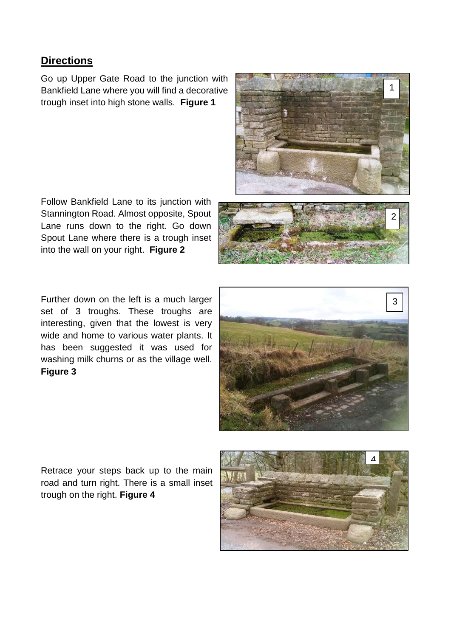#### **Directions**

Go up Upper Gate Road to the junction with Bankfield Lane where you will find a decorative trough inset into high stone walls. **Figure 1** 

Follow Bankfield Lane to its junction with Stannington Road. Almost opposite, Spout Lane runs down to the right. Go down Spout Lane where there is a trough inset into the wall on your right. **Figure 2**

Further down on the left is a much larger set of 3 troughs. These troughs are interesting, given that the lowest is very wide and home to various water plants. It has been suggested it was used for washing milk churns or as the village well. **Figure 3**







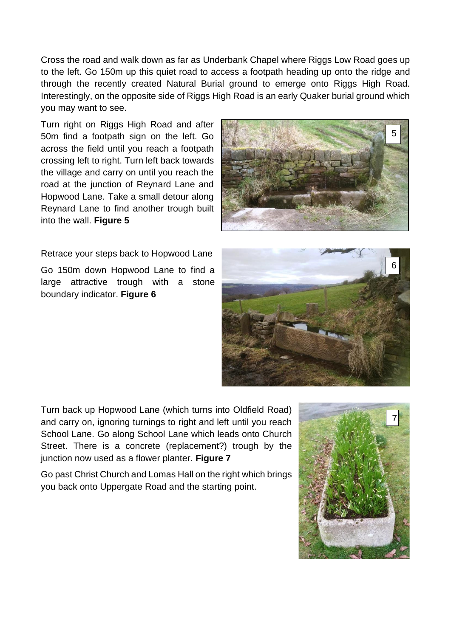Cross the road and walk down as far as Underbank Chapel where Riggs Low Road goes up to the left. Go 150m up this quiet road to access a footpath heading up onto the ridge and through the recently created Natural Burial ground to emerge onto Riggs High Road. Interestingly, on the opposite side of Riggs High Road is an early Quaker burial ground which you may want to see.

Turn right on Riggs High Road and after 50m find a footpath sign on the left. Go across the field until you reach a footpath crossing left to right. Turn left back towards the village and carry on until you reach the road at the junction of Reynard Lane and Hopwood Lane. Take a small detour along Reynard Lane to find another trough built into the wall. **Figure 5**



Retrace your steps back to Hopwood Lane

Go 150m down Hopwood Lane to find a large attractive trough with a stone boundary indicator. **Figure 6**



Turn back up Hopwood Lane (which turns into Oldfield Road) and carry on, ignoring turnings to right and left until you reach School Lane. Go along School Lane which leads onto Church Street. There is a concrete (replacement?) trough by the junction now used as a flower planter. **Figure 7**

Go past Christ Church and Lomas Hall on the right which brings you back onto Uppergate Road and the starting point.